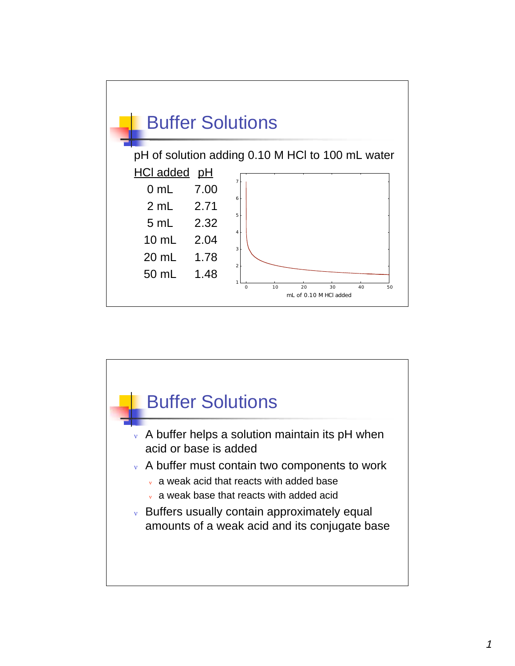

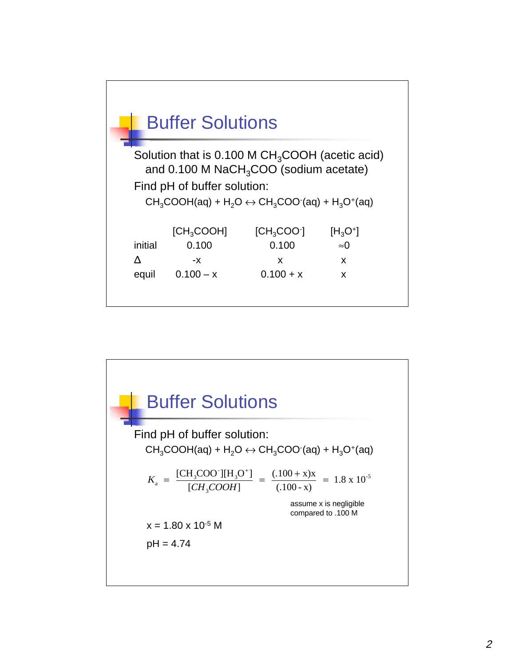

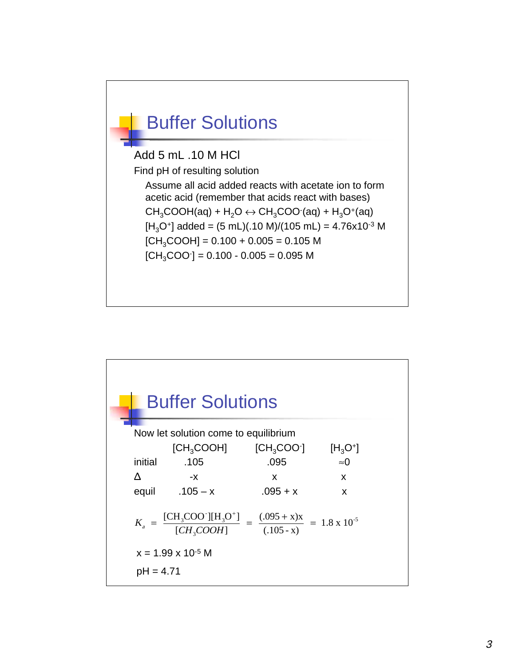

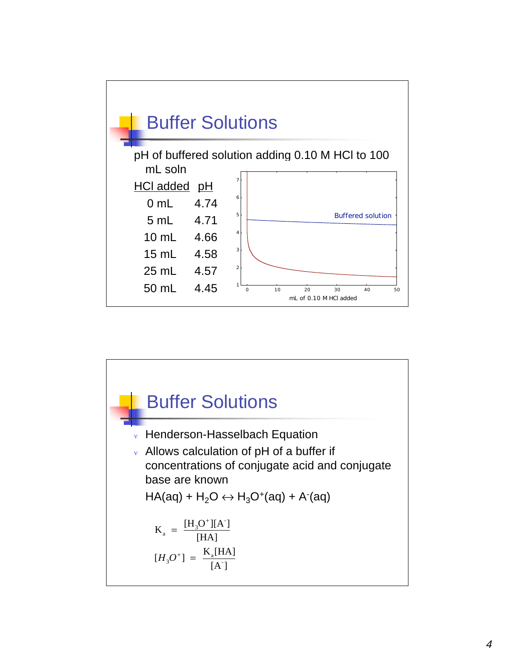

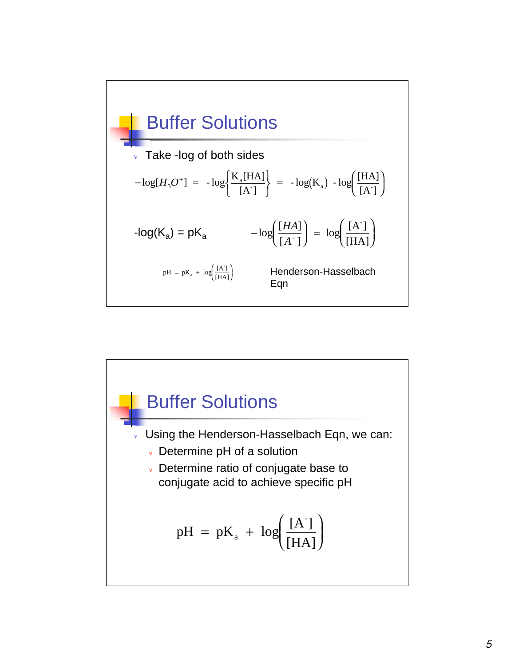

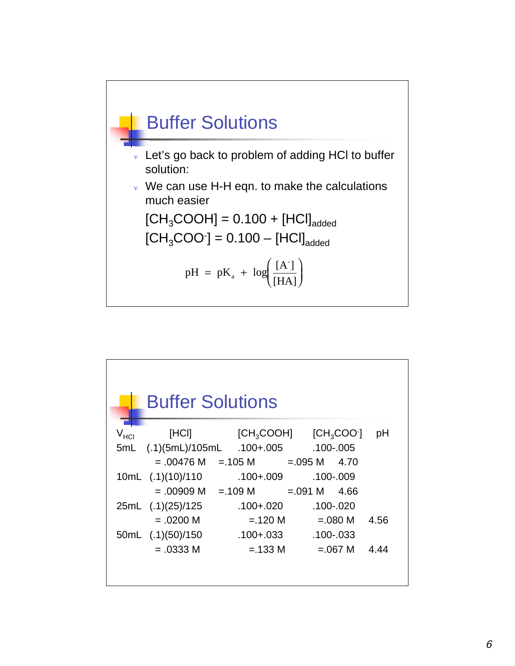

| <b>Buffer Solutions</b><br>$[CH3COOH]$ $[CH3COO1]$<br>[HCI]<br>pH<br>V <sub>HCI</sub> |
|---------------------------------------------------------------------------------------|
|                                                                                       |
|                                                                                       |
| .100-.005. 100+.005. .100-.005/(1.)<br>5mL                                            |
| $= .00476 \text{ M} = .105 \text{ M} = .095 \text{ M}$<br>4.70                        |
| .100-.009<br>$.100 + .009$<br>10mL (.1)(10)/110                                       |
| $= .00909 \text{ M} = .109 \text{ M} = .091 \text{ M}$ 4.66                           |
| $.100 + .020$<br>$.100 - .020$<br>25mL (.1)(25)/125                                   |
| $= .0200 M$<br>$=.120 M$<br>$=.080 M$<br>4.56                                         |
| 50mL (.1)(50)/150<br>.100+.033<br>.100-.033                                           |
| $=.0333 M$<br>$=.133 M$<br>$=.067$ M<br>4.44                                          |
|                                                                                       |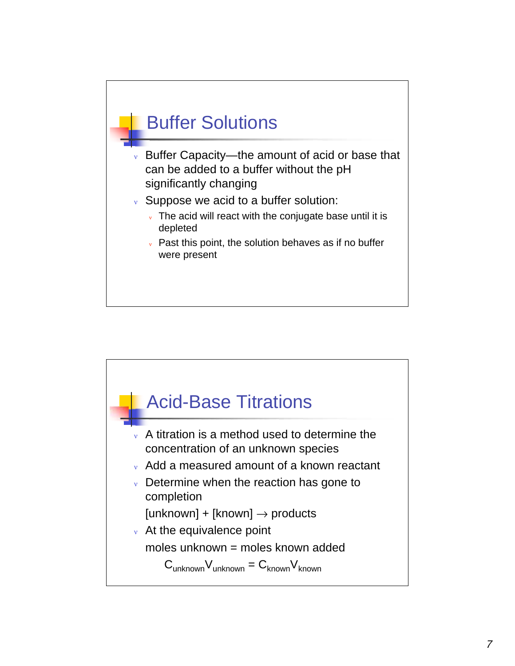## Buffer Solutions

- <sup>ν</sup> Buffer Capacity—the amount of acid or base that can be added to a buffer without the pH significantly changing
- <sup>ν</sup> Suppose we acid to a buffer solution:
	- $\overline{\mathbf{v}}$  The acid will react with the conjugate base until it is depleted
	- $\mathbf v$  Past this point, the solution behaves as if no buffer were present

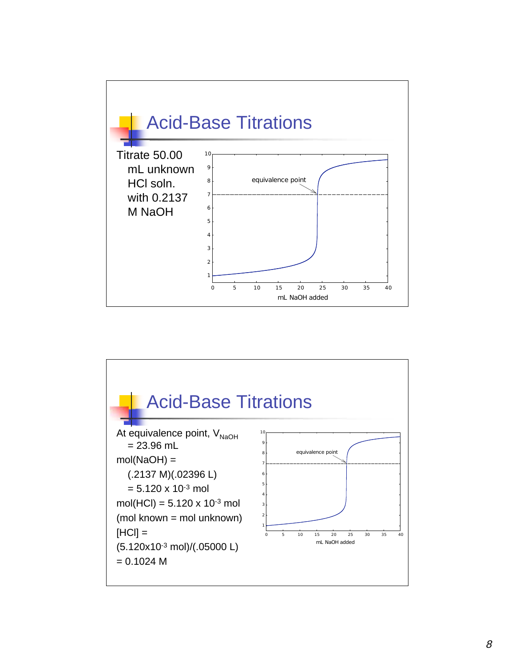

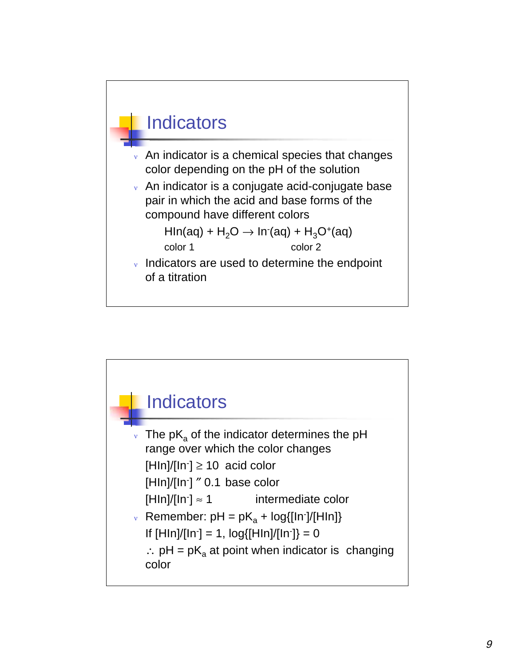

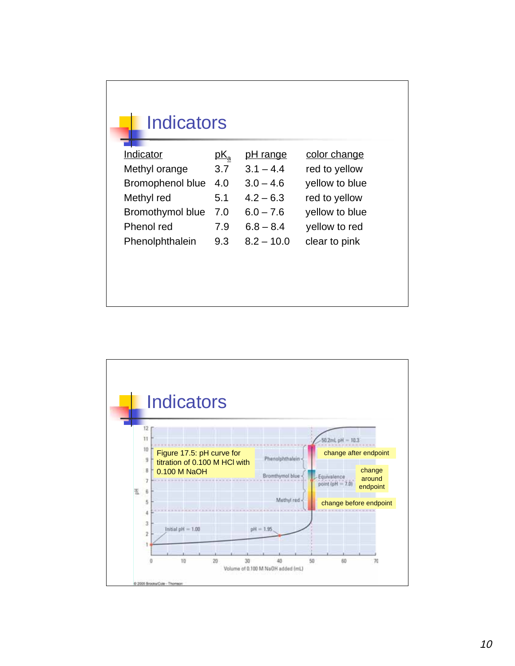| Indicator        | $pK_a$ | <u>pH range</u> | color change   |
|------------------|--------|-----------------|----------------|
| Methyl orange    | 3.7    | $3.1 - 4.4$     | red to yellow  |
| Bromophenol blue | 4.0    | $3.0 - 4.6$     | yellow to blue |
| Methyl red       | 5.1    | $4.2 - 6.3$     | red to yellow  |
| Bromothymol blue | 7.0    | $6.0 - 7.6$     | yellow to blue |
| Phenol red       | 7.9    | $6.8 - 8.4$     | yellow to red  |
| Phenolphthalein  | 9.3    | $8.2 - 10.0$    | clear to pink  |

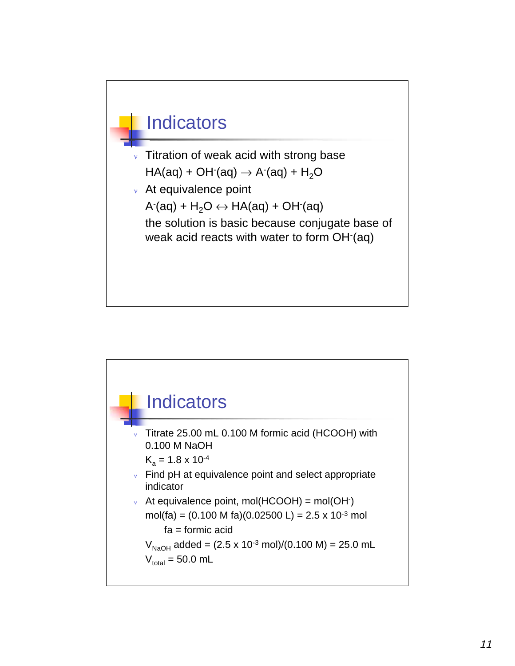

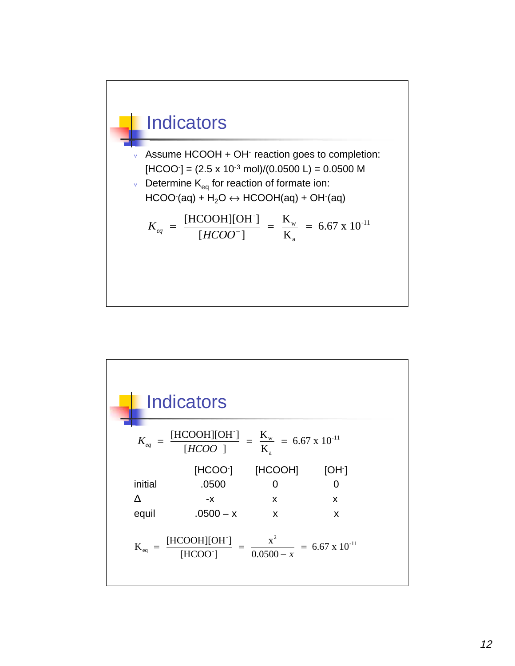

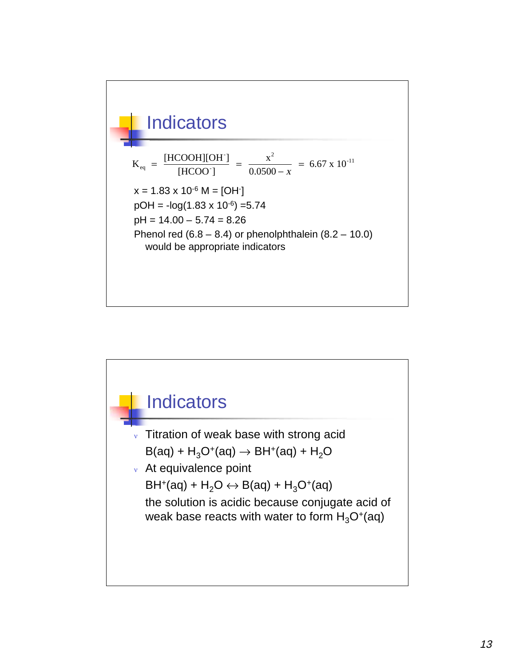

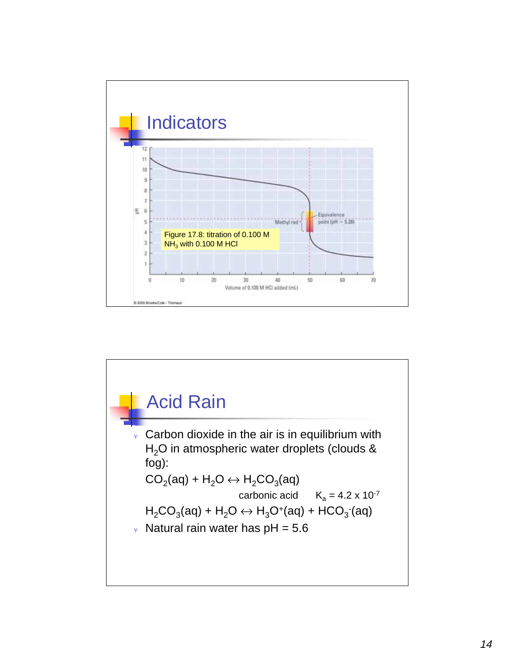

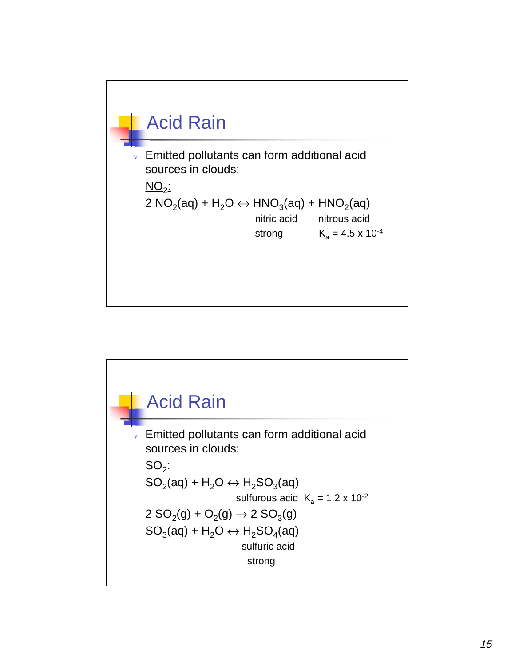

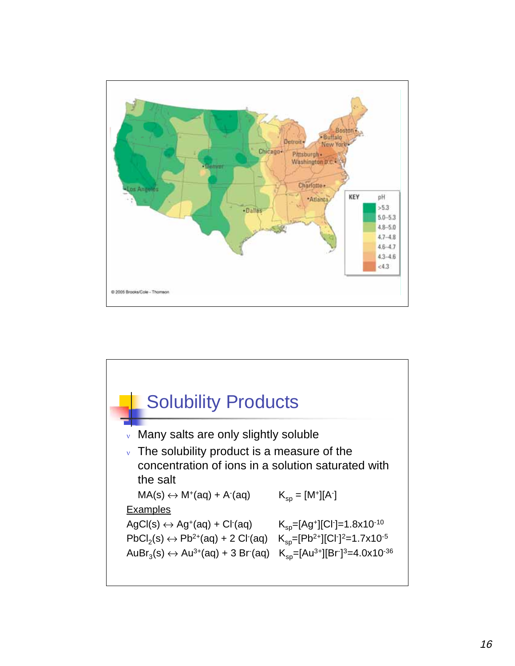

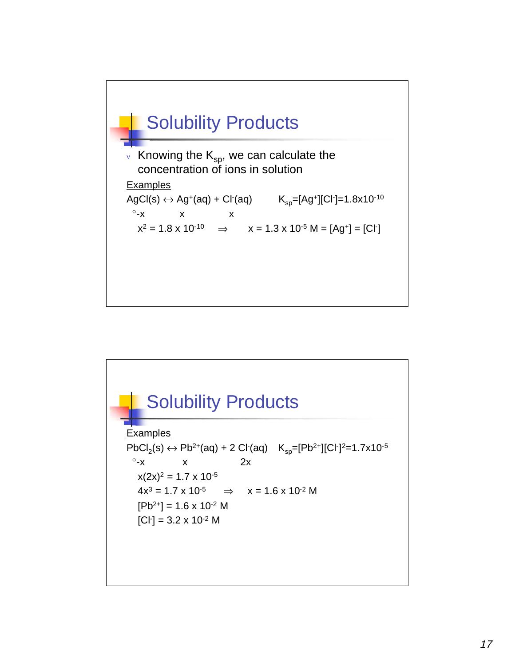

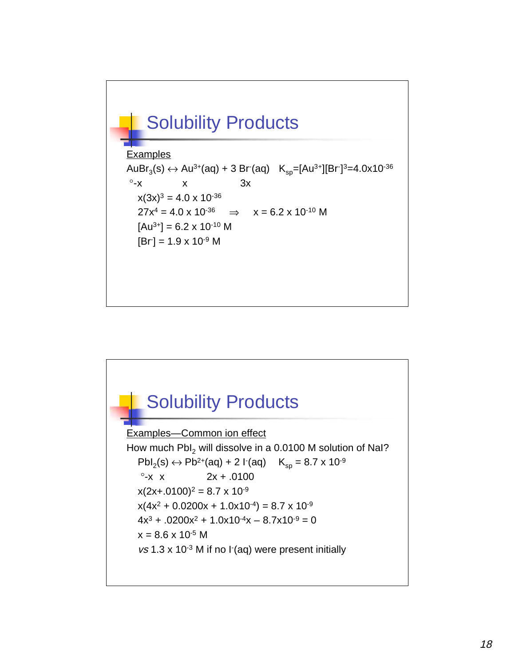